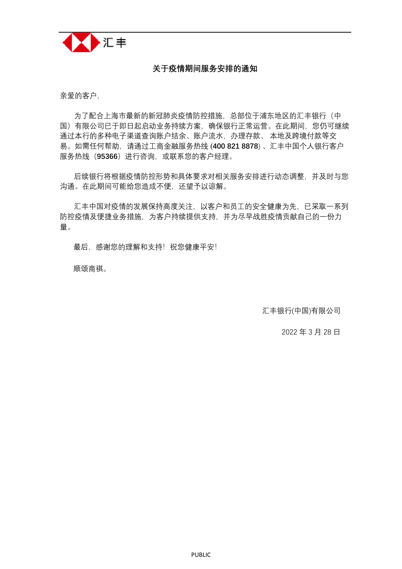

## **关于疫情期间服务安排的通知**

亲爱的客户,

为了配合上海市最新的新冠肺炎疫情防控措施,总部位于浦东地区的汇丰银行(中 国)有限公司已于即日起启动业务持续方案,确保银行正常运营。在此期间,您仍可继续 通过本行的多种电子渠道查询账户结余、账户流水,办理存款、 本地及跨境付款等交 易。如需任何帮助,请通过工商金融服务热线 [\(](tel:4008218878)**400 821 8878**) 、汇丰中国个人银行客户 服务热线(**95366**)进行咨询,或联系您的客户经理。

后续银行将根据疫情防控形势和具体要求对相关服务安排进行动态调整,并及时与您 沟通。在此期间可能给您造成不便,还望予以谅解。

汇丰中国对疫情的发展保持高度关注,以客户和员工的安全健康为先,已采取一系列 防控疫情及便捷业务措施,为客户持续提供支持,并为尽早战胜疫情贡献自己的一份力 量。

最后, 感谢您的理解和支持!祝您健康平安!

顺颂商祺。

汇丰银行(中国)有限公司

2022 年 3 月 28 日